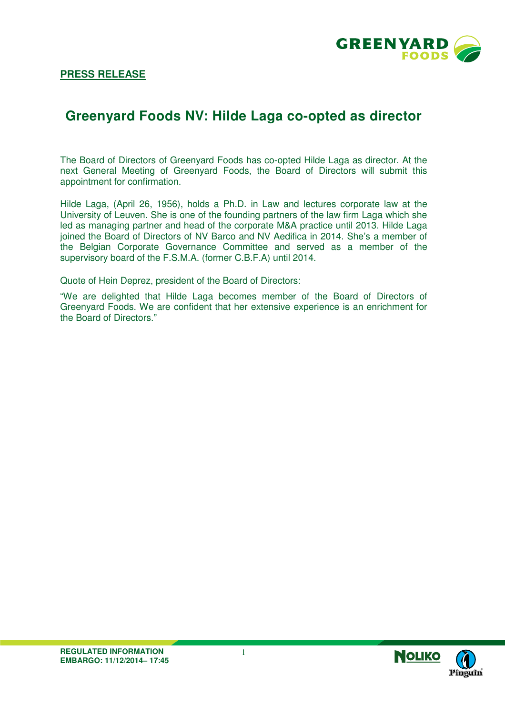

## **Greenyard Foods NV: Hilde Laga co-opted as director**

The Board of Directors of Greenyard Foods has co-opted Hilde Laga as director. At the next General Meeting of Greenyard Foods, the Board of Directors will submit this appointment for confirmation.

Hilde Laga, (April 26, 1956), holds a Ph.D. in Law and lectures corporate law at the University of Leuven. She is one of the founding partners of the law firm Laga which she led as managing partner and head of the corporate M&A practice until 2013. Hilde Laga joined the Board of Directors of NV Barco and NV Aedifica in 2014. She's a member of the Belgian Corporate Governance Committee and served as a member of the supervisory board of the F.S.M.A. (former C.B.F.A) until 2014.

Quote of Hein Deprez, president of the Board of Directors:

"We are delighted that Hilde Laga becomes member of the Board of Directors of Greenyard Foods. We are confident that her extensive experience is an enrichment for the Board of Directors."